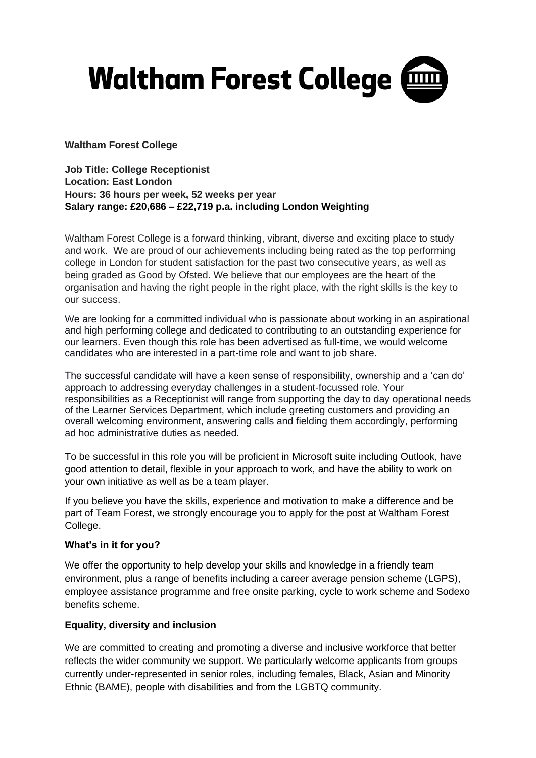

**Waltham Forest College** 

**Job Title: College Receptionist Location: East London Hours: 36 hours per week, 52 weeks per year Salary range: £20,686 – £22,719 p.a. including London Weighting** 

Waltham Forest College is a forward thinking, vibrant, diverse and exciting place to study and work. We are proud of our achievements including being rated as the top performing college in London for student satisfaction for the past two consecutive years, as well as being graded as Good by Ofsted. We believe that our employees are the heart of the organisation and having the right people in the right place, with the right skills is the key to our success.

We are looking for a committed individual who is passionate about working in an aspirational and high performing college and dedicated to contributing to an outstanding experience for our learners. Even though this role has been advertised as full-time, we would welcome candidates who are interested in a part-time role and want to job share.

The successful candidate will have a keen sense of responsibility, ownership and a 'can do' approach to addressing everyday challenges in a student-focussed role. Your responsibilities as a Receptionist will range from supporting the day to day operational needs of the Learner Services Department, which include greeting customers and providing an overall welcoming environment, answering calls and fielding them accordingly, performing ad hoc administrative duties as needed.

To be successful in this role you will be proficient in Microsoft suite including Outlook, have good attention to detail, flexible in your approach to work, and have the ability to work on your own initiative as well as be a team player.

If you believe you have the skills, experience and motivation to make a difference and be part of Team Forest, we strongly encourage you to apply for the post at Waltham Forest College.

## **What's in it for you?**

We offer the opportunity to help develop your skills and knowledge in a friendly team environment, plus a range of benefits including a career average pension scheme (LGPS), employee assistance programme and free onsite parking, cycle to work scheme and Sodexo benefits scheme.

## **Equality, diversity and inclusion**

We are committed to creating and promoting a diverse and inclusive workforce that better reflects the wider community we support. We particularly welcome applicants from groups currently under-represented in senior roles, including females, Black, Asian and Minority Ethnic (BAME), people with disabilities and from the LGBTQ community.